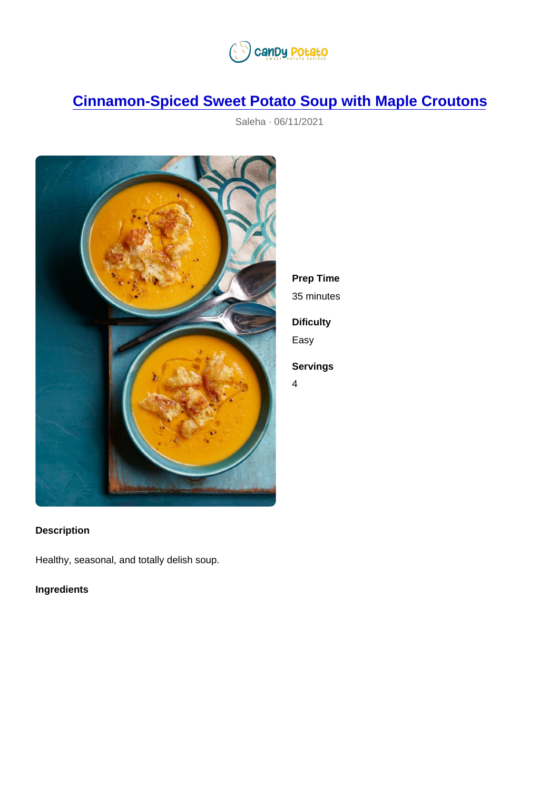## [Cinnamon-Spiced Sweet Potato Soup with Maple Croutons](https://candypotato.com/recipe/45/cinnamon-spiced-sweet-potato-soup-with-maple-croutons)

Saleha · 06/11/2021

| Prep Time  |
|------------|
| 35 minutes |
| Dificulty  |
| Easy       |
| Servings   |
| Δ.         |

Description

Healthy, seasonal, and totally delish soup.

Ingredients